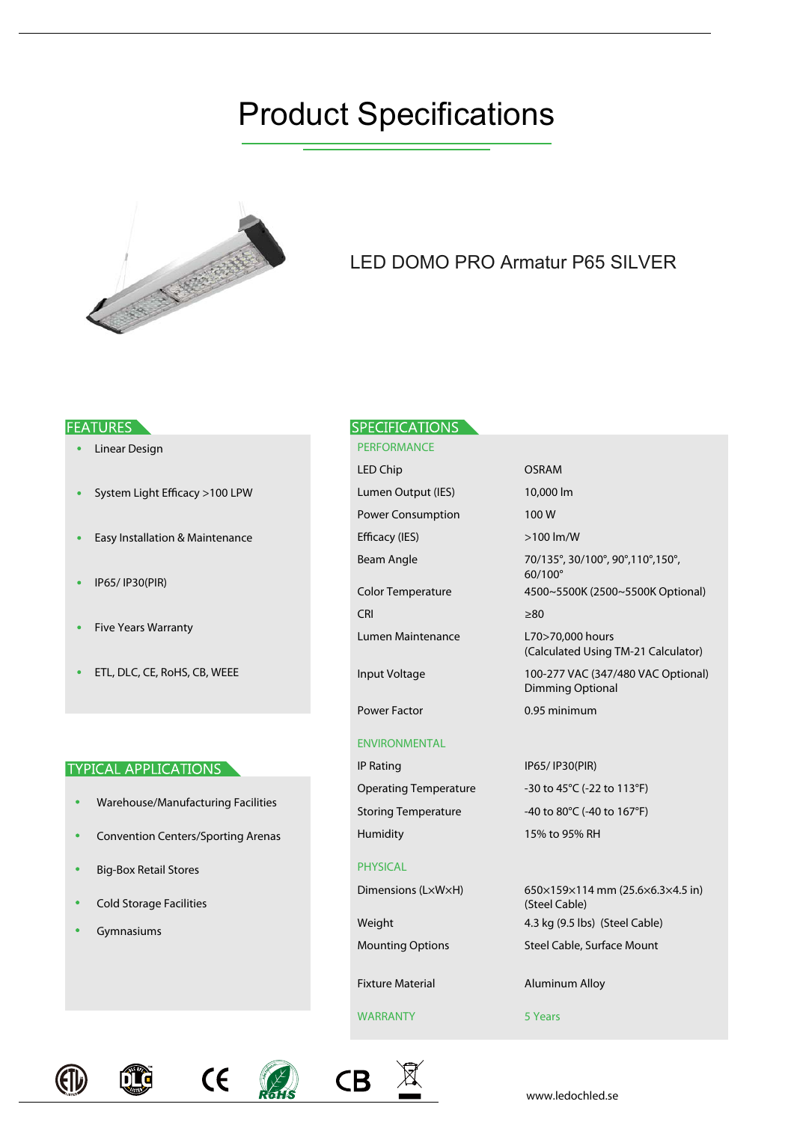# Product Specifications



# LED DOMO PRO Armatur P65 SILVER

# **FEATURES**

- Linear Design
- System Light Efficacy >100 LPW
- Easy Installation & Maintenance
- IP65/ IP30(PIR)  $\bullet$
- Five Years Warranty
- ETL, DLC, CE, RoHS, CB, WEEE  $\bullet$

# **TYPICAL APPLICATIONS**

- Warehouse/Manufacturing Facilities
- Convention Centers/Sporting Arenas
- Big-Box Retail Stores  $\bullet$
- Cold Storage Facilities
- Gymnasiums

# **SPECIFICATIONS**

PERFORMANCE LED Chip Power Consumption Efficacy (IES) Beam Angle Color Temperature CRI Lumen Maintenance Input Voltage Lumen Output (IES) 10,000 lm

# ENVIRONMENTAL

Power Factor

IP Rating Operating Temperature Humidity

# PHYSICAL

Dimensions (L×W×H)

Weight Mounting Options

Fixture Material

# WARRANTY 5 Years

OSRAM 100 W >100 lm/W 70/135°, 30/100°, 90°,110°,150°, 60/100° 4500~5500K (2500~5500K Optional) ≥80 0.95 minimum 100-277 VAC (347/480 VAC Optional) Dimming Optional L70>70,000 hours (Calculated Using TM-21 Calculator)

# IP65/ IP30(PIR) -30 to 45°C (-22 to 113°F)

Storing Temperature -40 to 80°C (-40 to 167°F)

15% to 95% RH

Steel Cable, Surface Mount 650×159×114 mm (25.6×6.3×4.5 in) (Steel Cable) 4.3 kg (9.5 lbs) (Steel Cable)

Aluminum Alloy







www.ledochled.se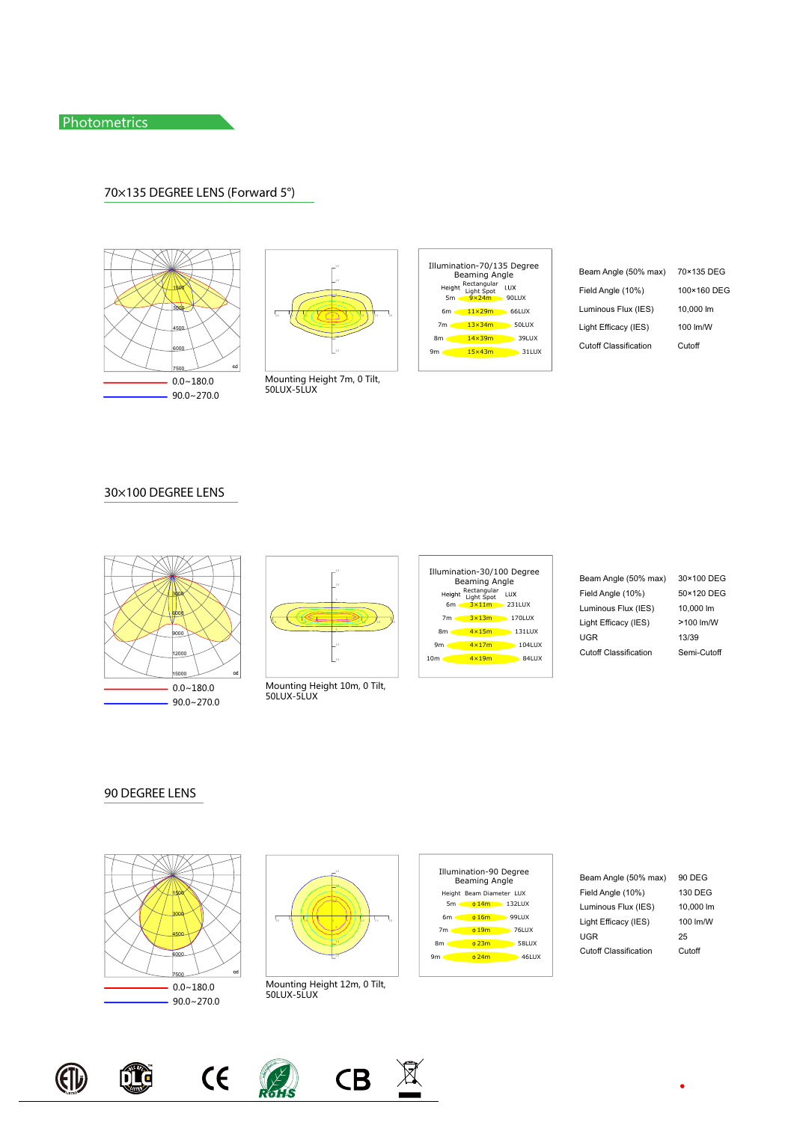# 70×135 DEGREE LENS (Forward 5°)









Beam Angle (50% max) Field Angle (10%) Cutoff Classification Cutoff Luminous Flux (IES) 10,000 lm Light Efficacy (IES) 100 lm/W

70×135 DEG 100×160 DEG

# 30×100 DEGREE LENS





Mounting Height 10m, 0 Tilt,<br>50LUX-5LUX



Beam Angle (50% max) 30×100 DEG Field Angle (10%) 50×120 DEG Cutoff Classification UGR Semi-Cutoff Luminous Flux (IES) 10,000 lm Light Efficacy (IES) >100 lm/W 13/39

90 DEGREE LENS





Mounting Height 12m, 0 Tilt,<br>50LUX-5LUX



Beam Angle (50% max) Field Angle (10%) 90 DEG 130 DEG Cutoff Classification UGR Cutoff Luminous Flux (IES) 10,000 lm Light Efficacy (IES) 100 lm/W 25





QÇ





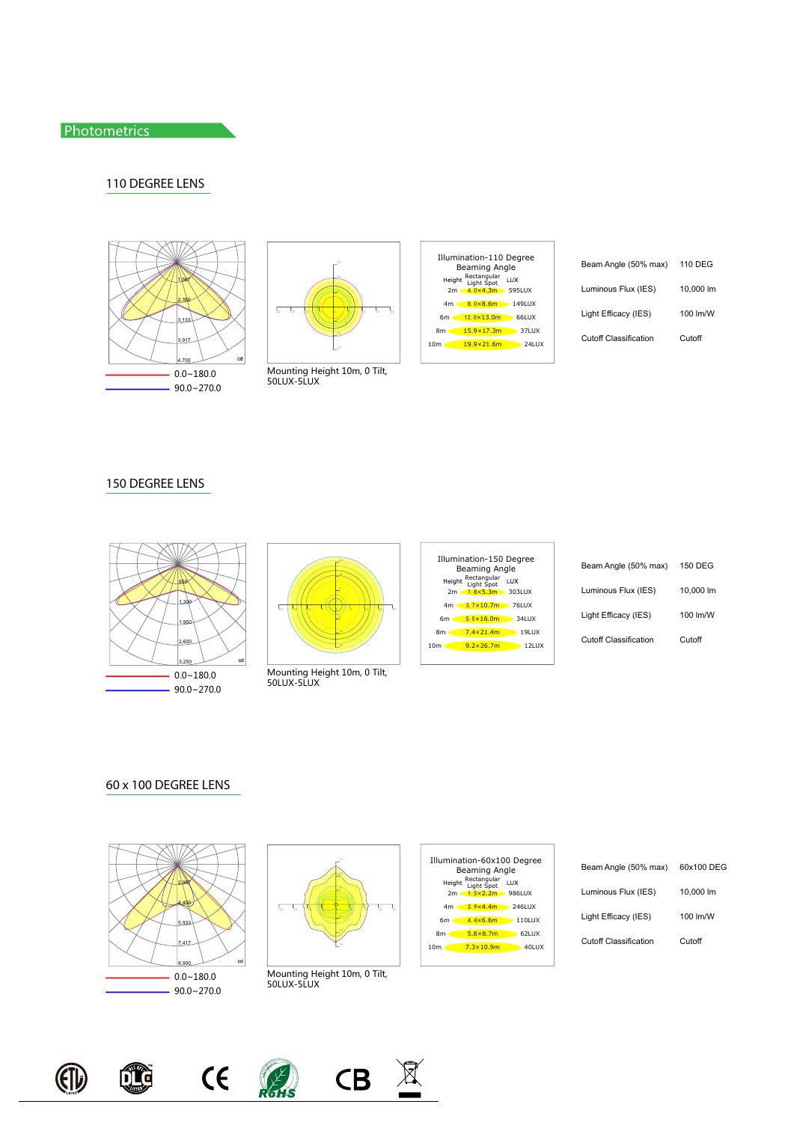# Photometrics **Photometrics**

# 110 DEGREE LENS









| Beam Angle (50% max)  | 110 DEG   |
|-----------------------|-----------|
| Luminous Flux (IES)   | 10.000 lm |
| Light Efficacy (IES)  | 100 lm/W  |
| Cutoff Classification | Cutoff    |

# 150 DEGREE LENS





Mounting Height 10m, 0 Tilt,<br>50LUX-5LUX



| Beam Angle (50% max)  | 150 DEG   |
|-----------------------|-----------|
| Luminous Flux (IES)   | 10.000 lm |
| Light Efficacy (IES)  | 100 lm/W  |
| Cutoff Classification | Cutoff    |

### 60 x 100 DEGREE LENS





Mounting Height 10m, 0 Tilt,<br>50LUX-5LUX



| Beam Angle (50% max)  | 60x100 DEG |
|-----------------------|------------|
| Luminous Flux (IES)   | 10.000 lm  |
| Light Efficacy (IES)  | 100 lm/W   |
| Cutoff Classification | Cutoff     |



QI





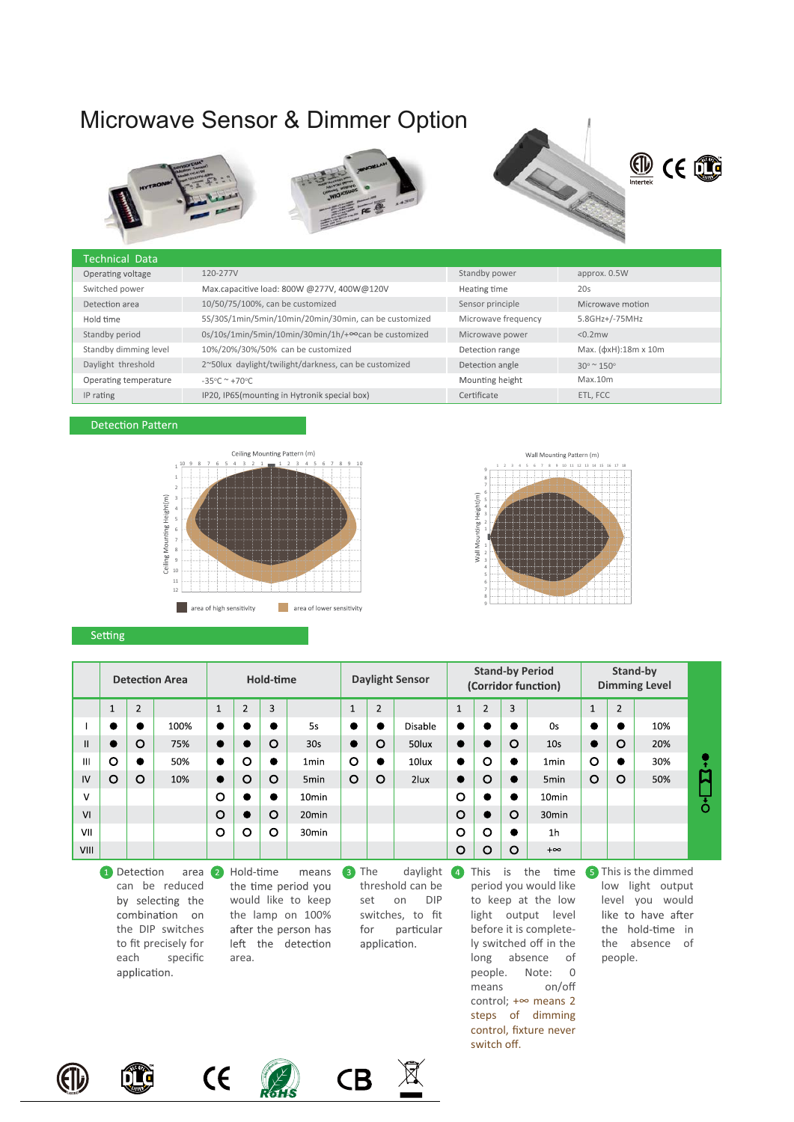# Microwave Sensor & Dimmer Option









### Technical Data Operating voltage 120-277V Standby power approx. 0.5W Switched power Max.capacitive load: 800W @277V, 400W@120V Heating time 20s Detection area 10/50/75/100%, can be customized Sensor principle Microwave motion 5S/30S/1min/5min/10min/20min/30min, can be customized Microwave frequency 5.8GHz+/-75MHz Hold time 0s/10s/1min/5min/10min/30min/1h/+∞can be customized Standby period Microwave power <0.2mw Standby dimming level 10%/20%/30%/50% can be customized Detection range Max. (φxH):18m x 10m 2~50lux daylight/twilight/darkness, can be customized Daylight threshold Detection angle  $30^\circ$  ~ 150 $^\circ$ Operating temperature Mounting height Max.10m  $-35^{\circ}$ C ~ +70 $^{\circ}$ C ETL, FCC IP rating IP20, IP65(mounting in Hytronik special box) Certificate

### **Detection Pattern**





### Setting

|                                                                                                                                                            | Hold-time<br><b>Detection Area</b> |                |      |   | <b>Daylight Sensor</b> |         |                   |              | <b>Stand-by Period</b><br>(Corridor function) |         |         |                | Stand-by<br><b>Dimming Level</b> |                   |              |                |     |               |
|------------------------------------------------------------------------------------------------------------------------------------------------------------|------------------------------------|----------------|------|---|------------------------|---------|-------------------|--------------|-----------------------------------------------|---------|---------|----------------|----------------------------------|-------------------|--------------|----------------|-----|---------------|
|                                                                                                                                                            | $\overline{ }$<br>J.               | $\overline{2}$ |      |   | $\overline{2}$         | 3       |                   | $\mathbf{1}$ | $\overline{2}$                                |         |         | $\overline{2}$ | 3                                |                   | $\mathbf{1}$ | $\overline{2}$ |     |               |
|                                                                                                                                                            | $\bullet$                          | $\bullet$      | 100% |   |                        | ●       | 5s                | $\bullet$    | $\bullet$                                     | Disable |         |                |                                  | 0s                | $\bullet$    | $\bullet$      | 10% |               |
| $\mathsf{II}$                                                                                                                                              |                                    | $\Omega$       | 75%  |   |                        | $\circ$ | 30s               | $\bullet$    | $\circ$                                       | 50lux   |         |                | O                                | 10 <sub>s</sub>   | $\bullet$    | O              | 20% |               |
| Ш                                                                                                                                                          | $\circ$                            |                | 50%  |   | O                      |         | 1 <sub>min</sub>  | O            | $\bullet$                                     | 10lux   |         | O              |                                  | 1 <sub>min</sub>  | $\circ$      | $\bullet$      | 30% |               |
| IV                                                                                                                                                         | O                                  | $\circ$        | 10%  |   | O                      | $\circ$ | 5 <sub>min</sub>  | $\circ$      | $\circ$                                       | 2lux    |         | O              |                                  | 5 <sub>min</sub>  | $\circ$      | O              | 50% | ជ             |
| v                                                                                                                                                          |                                    |                |      | O |                        | ●       | 10 <sub>min</sub> |              |                                               |         | O       | ●              |                                  | 10 <sub>min</sub> |              |                |     | $\dot{\circ}$ |
| VI                                                                                                                                                         |                                    |                |      | O |                        | O       | 20 <sub>min</sub> |              |                                               |         | O       |                | O                                | 30 <sub>min</sub> |              |                |     |               |
| VII                                                                                                                                                        |                                    |                |      | O | O                      | $\circ$ | 30 <sub>min</sub> |              |                                               |         | O       | O              | 0                                | 1 <sub>h</sub>    |              |                |     |               |
| VIII                                                                                                                                                       |                                    |                |      |   |                        |         |                   |              |                                               |         | $\circ$ | O              | $\circ$                          | $+\infty$         |              |                |     |               |
| Hold-time<br>This<br>5 This is the dimmed<br>time<br>the<br>Detection<br>The<br>$\lceil 3 \rceil$<br>daylight<br>area $\overline{2}$<br>means<br>is<br>(4) |                                    |                |      |   |                        |         |                   |              |                                               |         |         |                |                                  |                   |              |                |     |               |

**O** Detection can be reduced by selecting the combination on the DIP switches to fit precisely for each specific application.

 $\epsilon$ 

area 2 Hold-time means the time period you would like to keep the lamp on 100% after the person has left the detection area.

threshold can be set on DIP switches, to fit for particular application.

 $CB$ 

period you would like to keep at the low light output level before it is completely switched off in the long absence of people. Note: 0 means on/off control; +∞ means 2 steps of dimming control, fixture never switch off.

low light output level you would like to have after the hold-time in the absence of people.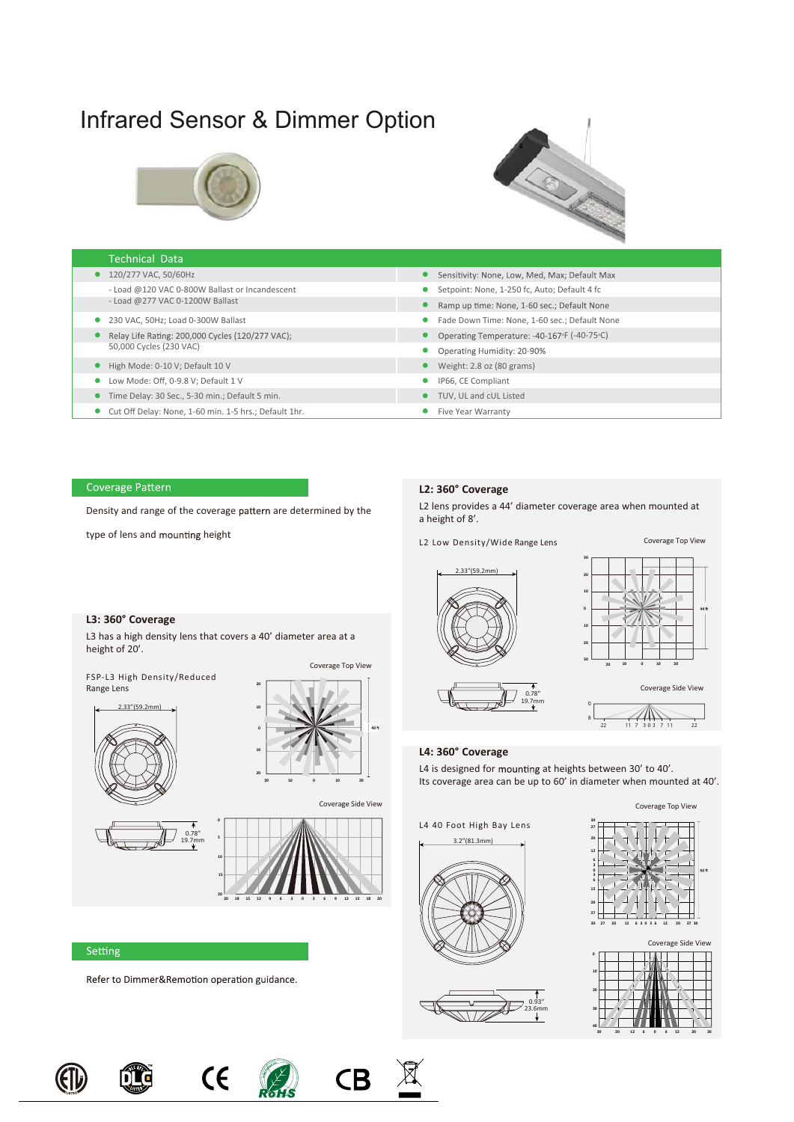# Infrared Sensor & Dimmer Option



# **CENTER**

| <b>Technical Data</b>                                 |                                               |
|-------------------------------------------------------|-----------------------------------------------|
| ● 120/277 VAC, 50/60Hz                                | Sensitivity: None, Low, Med, Max; Default Max |
| - Load @120 VAC 0-800W Ballast or Incandescent        | Setpoint: None, 1-250 fc, Auto; Default 4 fc  |
| - Load @277 VAC 0-1200W Ballast                       | Ramp up time: None, 1-60 sec.; Default None   |
| 230 VAC, 50Hz; Load 0-300W Ballast                    | Fade Down Time: None, 1-60 sec.; Default None |
| Relay Life Rating: 200,000 Cycles (120/277 VAC);      | Operating Temperature: -40-167°F (-40-75°C)   |
| 50,000 Cycles (230 VAC)                               | Operating Humidity: 20-90%                    |
| High Mode: 0-10 V; Default 10 V                       | Weight: 2.8 oz (80 grams)                     |
| Low Mode: Off, 0-9.8 V; Default 1 V                   | IP66, CE Compliant                            |
| Time Delay: 30 Sec., 5-30 min.; Default 5 min.        | TUV. UL and cUL Listed                        |
| Cut Off Delay: None. 1-60 min. 1-5 hrs.: Default 1hr. | Five Year Warranty                            |

# Coverage Pattern

Density and range of the coverage pattern are determined by the

type of lens and mounting height

## **L2: 360° Coverage**

L2 lens provides a 44' diameter coverage area when mounted at a height of 8'.

L2 Low Density/Wide Range Lens







**30 20 20 12 6 6 0 12 30**

### **L4: 360° Coverage**

**<sup>20</sup>** 3.2"(81.3mm)

L4 is designed for mounting at heights between 30' to 40'. Its coverage area can be up to 60' in diameter when mounted at 40'.



**40**

# **L3: 360° Coverage**

L3 has a high density lens that covers a 40' diameter area at a height of 20'.

FSP-L3 High Density/Reduced Range Lens











Setting

Refer to Dimmer&Remotion operation guidance.













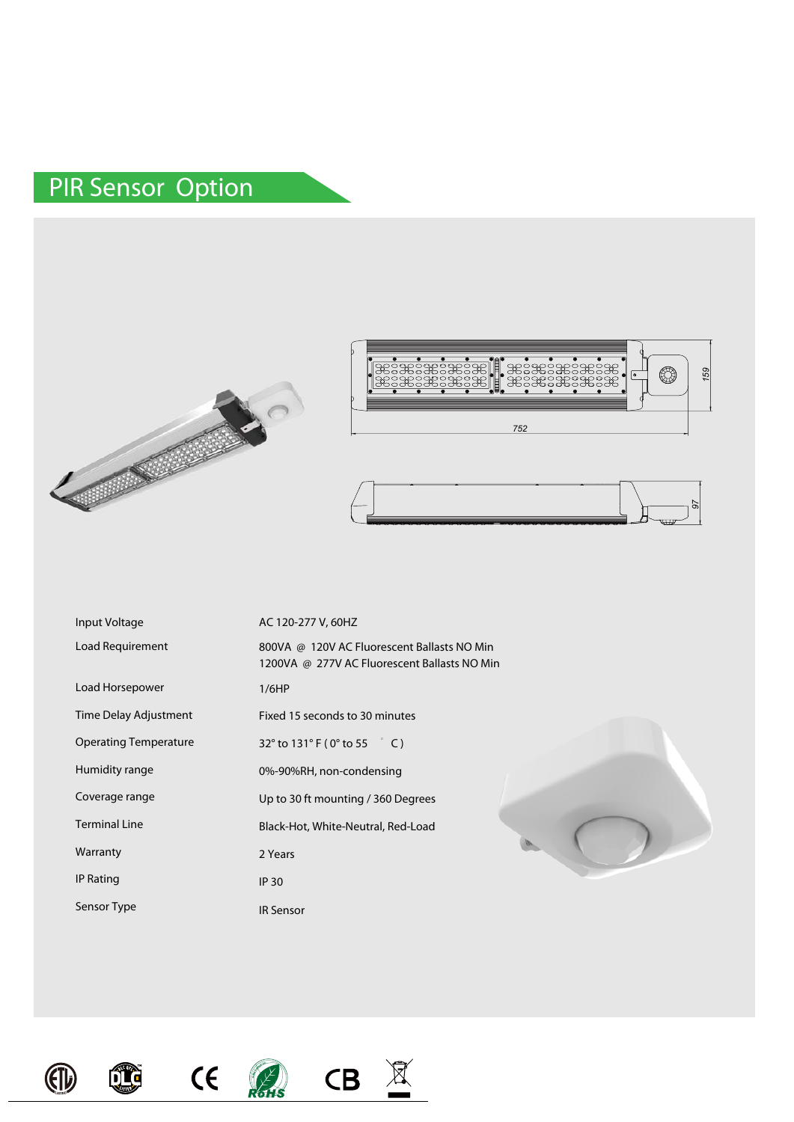# PIR Sensor Option







|                              | 752                                                                                         |
|------------------------------|---------------------------------------------------------------------------------------------|
|                              |                                                                                             |
|                              |                                                                                             |
| Input Voltage                | AC 120-277 V, 60HZ                                                                          |
| Load Requirement             | 800VA @ 120V AC Fluorescent Ballasts NO Min<br>1200VA @ 277V AC Fluorescent Ballasts NO Min |
| Load Horsepower              | 1/6HP                                                                                       |
| Time Delay Adjustment        | Fixed 15 seconds to 30 minutes                                                              |
| <b>Operating Temperature</b> | 32° to 131° F (0° to 55 ° C)                                                                |
| Humidity range               | 0%-90%RH, non-condensing                                                                    |
| Coverage range               | Up to 30 ft mounting / 360 Degrees                                                          |
| <b>Terminal Line</b>         | Black-Hot, White-Neutral, Red-Load                                                          |
| Warranty                     | 2 Years                                                                                     |
| <b>IP Rating</b>             | <b>IP 30</b>                                                                                |
| Sensor Type                  | <b>IR Sensor</b>                                                                            |









 $\underline{\mathbb{R}}$